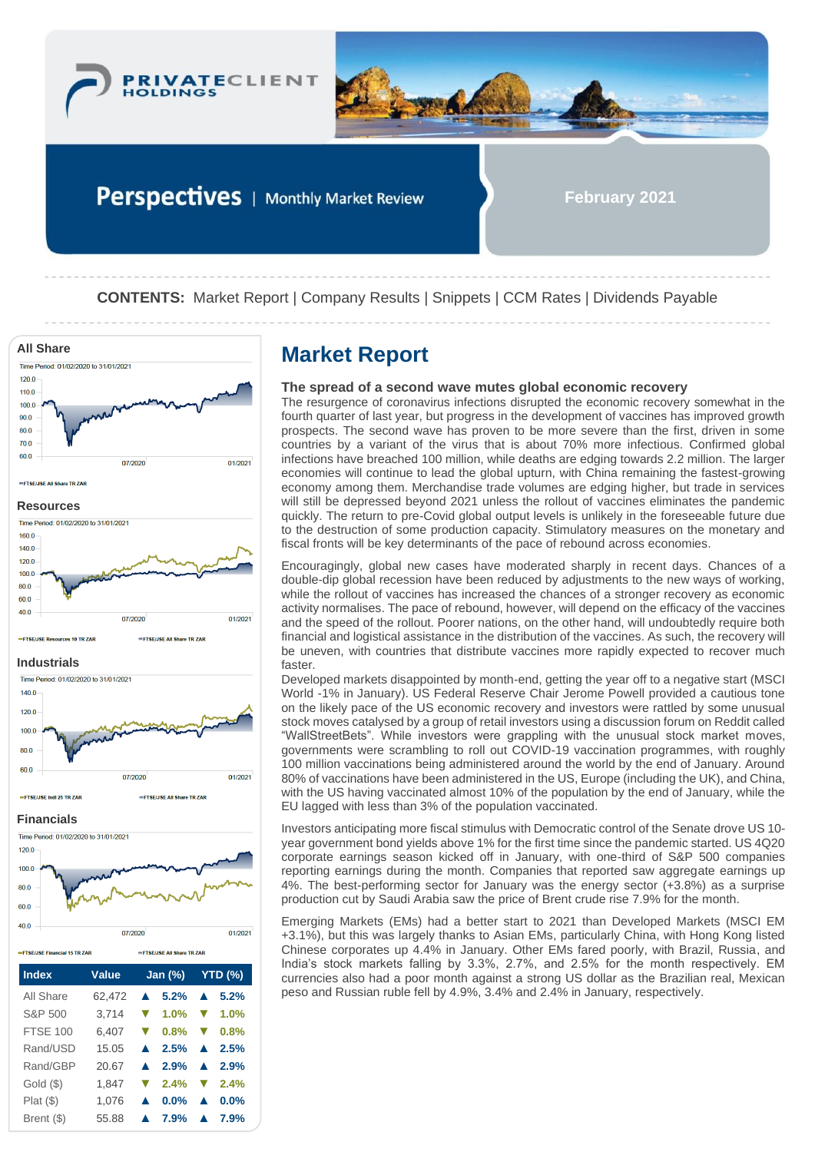

Perspectives | Monthly Market Review

**February 2021**

**CONTENTS:** Market Report | Company Results | Snippets | CCM Rates | Dividends Payable



Plat (\$) 1,076 **▲ 0.0% ▲ 0.0%** Brent (\$) 55.88 **▲ 7.9% ▲ 7.9%**

## **The spread of a second wave mutes global economic recovery**

The resurgence of coronavirus infections disrupted the economic recovery somewhat in the fourth quarter of last year, but progress in the development of vaccines has improved growth prospects. The second wave has proven to be more severe than the first, driven in some countries by a variant of the virus that is about 70% more infectious. Confirmed global infections have breached 100 million, while deaths are edging towards 2.2 million. The larger economies will continue to lead the global upturn, with China remaining the fastest-growing economy among them. Merchandise trade volumes are edging higher, but trade in services will still be depressed beyond 2021 unless the rollout of vaccines eliminates the pandemic quickly. The return to pre-Covid global output levels is unlikely in the foreseeable future due to the destruction of some production capacity. Stimulatory measures on the monetary and fiscal fronts will be key determinants of the pace of rebound across economies.

Encouragingly, global new cases have moderated sharply in recent days. Chances of a double-dip global recession have been reduced by adjustments to the new ways of working, while the rollout of vaccines has increased the chances of a stronger recovery as economic activity normalises. The pace of rebound, however, will depend on the efficacy of the vaccines and the speed of the rollout. Poorer nations, on the other hand, will undoubtedly require both financial and logistical assistance in the distribution of the vaccines. As such, the recovery will be uneven, with countries that distribute vaccines more rapidly expected to recover much faster.

Developed markets disappointed by month-end, getting the year off to a negative start (MSCI World -1% in January). US Federal Reserve Chair Jerome Powell provided a cautious tone on the likely pace of the US economic recovery and investors were rattled by some unusual stock moves catalysed by a group of retail investors using a discussion forum on Reddit called "WallStreetBets". While investors were grappling with the unusual stock market moves, governments were scrambling to roll out COVID-19 vaccination programmes, with roughly 100 million vaccinations being administered around the world by the end of January. Around 80% of vaccinations have been administered in the US, Europe (including the UK), and China, with the US having vaccinated almost 10% of the population by the end of January, while the EU lagged with less than 3% of the population vaccinated.

Investors anticipating more fiscal stimulus with Democratic control of the Senate drove US 10 year government bond yields above 1% for the first time since the pandemic started. US 4Q20 corporate earnings season kicked off in January, with one-third of S&P 500 companies reporting earnings during the month. Companies that reported saw aggregate earnings up 4%. The best-performing sector for January was the energy sector (+3.8%) as a surprise production cut by Saudi Arabia saw the price of Brent crude rise 7.9% for the month.

Emerging Markets (EMs) had a better start to 2021 than Developed Markets (MSCI EM +3.1%), but this was largely thanks to Asian EMs, particularly China, with Hong Kong listed Chinese corporates up 4.4% in January. Other EMs fared poorly, with Brazil, Russia, and India's stock markets falling by 3.3%, 2.7%, and 2.5% for the month respectively. EM currencies also had a poor month against a strong US dollar as the Brazilian real, Mexican peso and Russian ruble fell by 4.9%, 3.4% and 2.4% in January, respectively.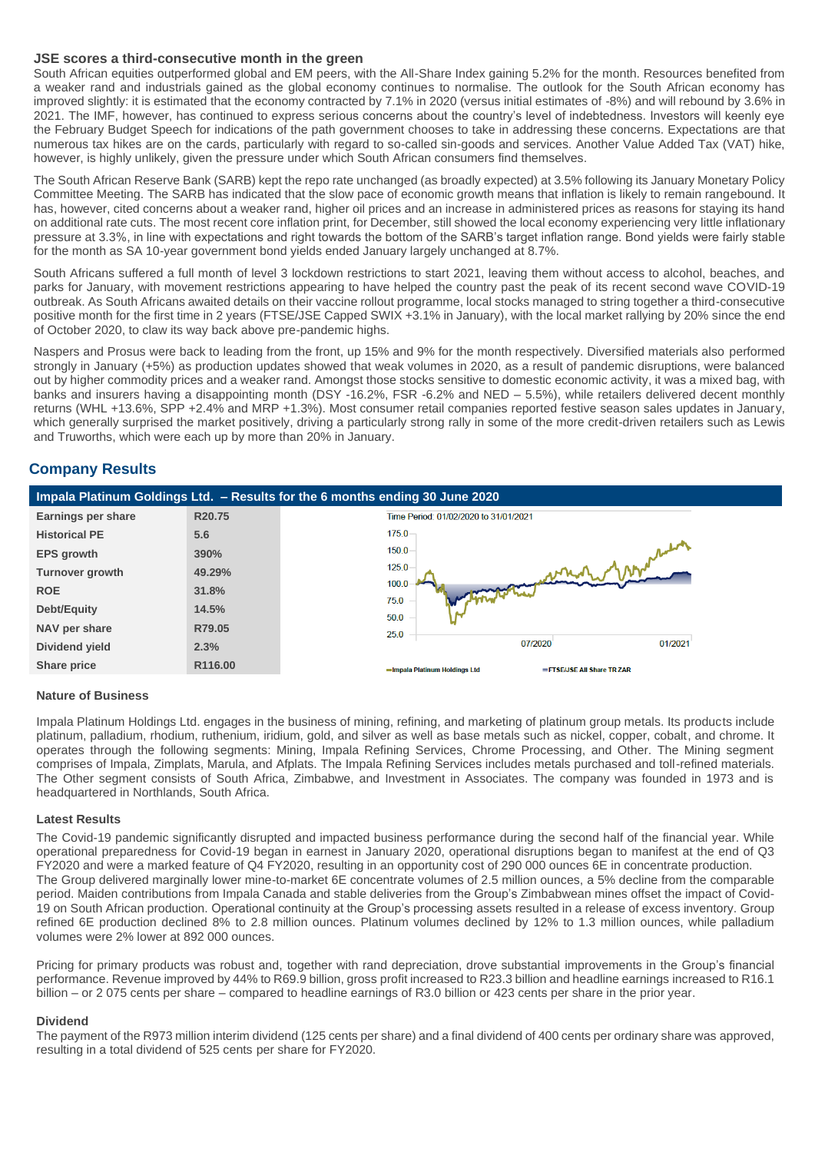#### **JSE scores a third-consecutive month in the green**

South African equities outperformed global and EM peers, with the All-Share Index gaining 5.2% for the month. Resources benefited from a weaker rand and industrials gained as the global economy continues to normalise. The outlook for the South African economy has improved slightly: it is estimated that the economy contracted by 7.1% in 2020 (versus initial estimates of -8%) and will rebound by 3.6% in 2021. The IMF, however, has continued to express serious concerns about the country's level of indebtedness. Investors will keenly eye the February Budget Speech for indications of the path government chooses to take in addressing these concerns. Expectations are that numerous tax hikes are on the cards, particularly with regard to so-called sin-goods and services. Another Value Added Tax (VAT) hike, however, is highly unlikely, given the pressure under which South African consumers find themselves.

The South African Reserve Bank (SARB) kept the repo rate unchanged (as broadly expected) at 3.5% following its January Monetary Policy Committee Meeting. The SARB has indicated that the slow pace of economic growth means that inflation is likely to remain rangebound. It has, however, cited concerns about a weaker rand, higher oil prices and an increase in administered prices as reasons for staying its hand on additional rate cuts. The most recent core inflation print, for December, still showed the local economy experiencing very little inflationary pressure at 3.3%, in line with expectations and right towards the bottom of the SARB's target inflation range. Bond yields were fairly stable for the month as SA 10-year government bond yields ended January largely unchanged at 8.7%.

South Africans suffered a full month of level 3 lockdown restrictions to start 2021, leaving them without access to alcohol, beaches, and parks for January, with movement restrictions appearing to have helped the country past the peak of its recent second wave COVID-19 outbreak. As South Africans awaited details on their vaccine rollout programme, local stocks managed to string together a third-consecutive positive month for the first time in 2 years (FTSE/JSE Capped SWIX +3.1% in January), with the local market rallying by 20% since the end of October 2020, to claw its way back above pre-pandemic highs.

Naspers and Prosus were back to leading from the front, up 15% and 9% for the month respectively. Diversified materials also performed strongly in January (+5%) as production updates showed that weak volumes in 2020, as a result of pandemic disruptions, were balanced out by higher commodity prices and a weaker rand. Amongst those stocks sensitive to domestic economic activity, it was a mixed bag, with banks and insurers having a disappointing month (DSY -16.2%, FSR -6.2% and NED – 5.5%), while retailers delivered decent monthly returns (WHL +13.6%, SPP +2.4% and MRP +1.3%). Most consumer retail companies reported festive season sales updates in January, which generally surprised the market positively, driving a particularly strong rally in some of the more credit-driven retailers such as Lewis and Truworths, which were each up by more than 20% in January.

# **Company Results**



#### **Nature of Business**

Impala Platinum Holdings Ltd. engages in the business of mining, refining, and marketing of platinum group metals. Its products include platinum, palladium, rhodium, ruthenium, iridium, gold, and silver as well as base metals such as nickel, copper, cobalt, and chrome. It operates through the following segments: Mining, Impala Refining Services, Chrome Processing, and Other. The Mining segment comprises of Impala, Zimplats, Marula, and Afplats. The Impala Refining Services includes metals purchased and toll-refined materials. The Other segment consists of South Africa, Zimbabwe, and Investment in Associates. The company was founded in 1973 and is headquartered in Northlands, South Africa.

#### **Latest Results**

The Covid-19 pandemic significantly disrupted and impacted business performance during the second half of the financial year. While operational preparedness for Covid-19 began in earnest in January 2020, operational disruptions began to manifest at the end of Q3 FY2020 and were a marked feature of Q4 FY2020, resulting in an opportunity cost of 290 000 ounces 6E in concentrate production. The Group delivered marginally lower mine-to-market 6E concentrate volumes of 2.5 million ounces, a 5% decline from the comparable period. Maiden contributions from Impala Canada and stable deliveries from the Group's Zimbabwean mines offset the impact of Covid-19 on South African production. Operational continuity at the Group's processing assets resulted in a release of excess inventory. Group refined 6E production declined 8% to 2.8 million ounces. Platinum volumes declined by 12% to 1.3 million ounces, while palladium volumes were 2% lower at 892 000 ounces.

Pricing for primary products was robust and, together with rand depreciation, drove substantial improvements in the Group's financial performance. Revenue improved by 44% to R69.9 billion, gross profit increased to R23.3 billion and headline earnings increased to R16.1 billion – or 2 075 cents per share – compared to headline earnings of R3.0 billion or 423 cents per share in the prior year.

#### **Dividend**

The payment of the R973 million interim dividend (125 cents per share) and a final dividend of 400 cents per ordinary share was approved, resulting in a total dividend of 525 cents per share for FY2020.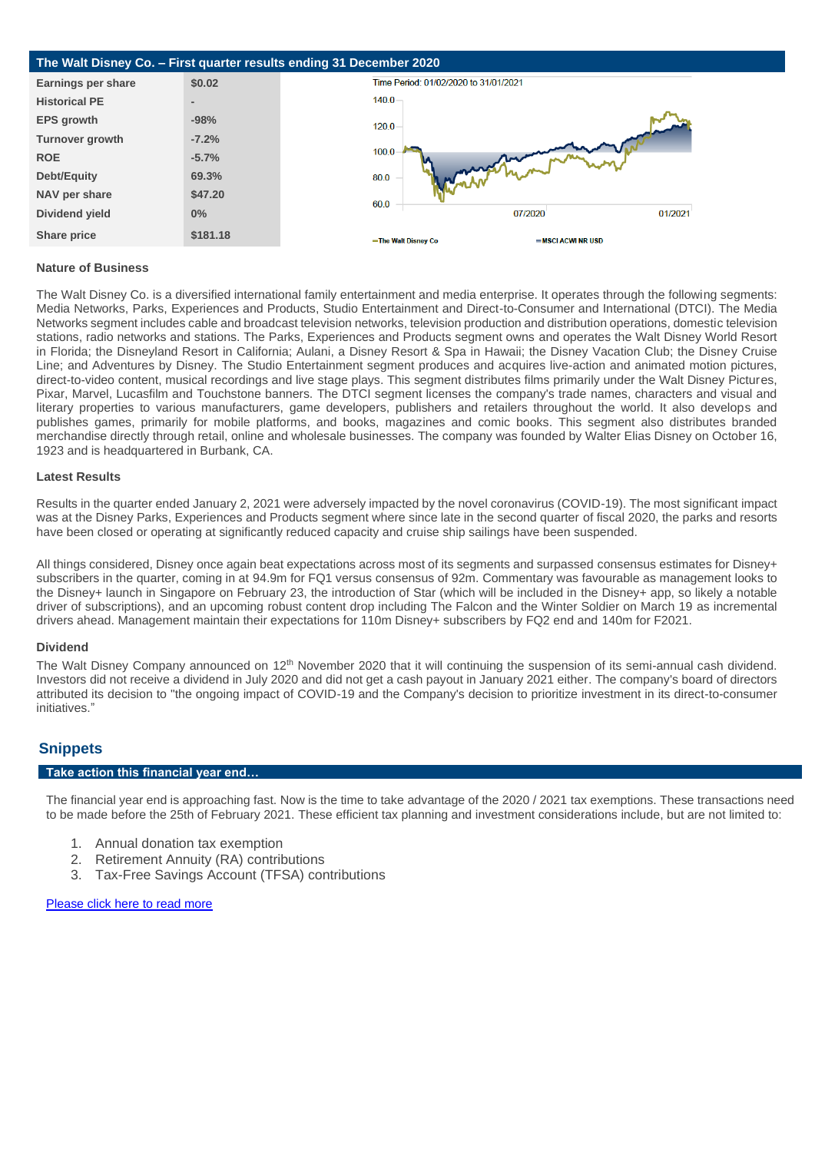

#### **Nature of Business**

The Walt Disney Co. is a diversified international family entertainment and media enterprise. It operates through the following segments: Media Networks, Parks, Experiences and Products, Studio Entertainment and Direct-to-Consumer and International (DTCI). The Media Networks segment includes cable and broadcast television networks, television production and distribution operations, domestic television stations, radio networks and stations. The Parks, Experiences and Products segment owns and operates the Walt Disney World Resort in Florida; the Disneyland Resort in California; Aulani, a Disney Resort & Spa in Hawaii; the Disney Vacation Club; the Disney Cruise Line; and Adventures by Disney. The Studio Entertainment segment produces and acquires live-action and animated motion pictures, direct-to-video content, musical recordings and live stage plays. This segment distributes films primarily under the Walt Disney Pictures, Pixar, Marvel, Lucasfilm and Touchstone banners. The DTCI segment licenses the company's trade names, characters and visual and literary properties to various manufacturers, game developers, publishers and retailers throughout the world. It also develops and publishes games, primarily for mobile platforms, and books, magazines and comic books. This segment also distributes branded merchandise directly through retail, online and wholesale businesses. The company was founded by Walter Elias Disney on October 16, 1923 and is headquartered in Burbank, CA.

#### **Latest Results**

Results in the quarter ended January 2, 2021 were adversely impacted by the novel coronavirus (COVID-19). The most significant impact was at the Disney Parks, Experiences and Products segment where since late in the second quarter of fiscal 2020, the parks and resorts have been closed or operating at significantly reduced capacity and cruise ship sailings have been suspended.

All things considered, Disney once again beat expectations across most of its segments and surpassed consensus estimates for Disney+ subscribers in the quarter, coming in at 94.9m for FQ1 versus consensus of 92m. Commentary was favourable as management looks to the Disney+ launch in Singapore on February 23, the introduction of Star (which will be included in the Disney+ app, so likely a notable driver of subscriptions), and an upcoming robust content drop including The Falcon and the Winter Soldier on March 19 as incremental drivers ahead. Management maintain their expectations for 110m Disney+ subscribers by FQ2 end and 140m for F2021.

#### **Dividend**

The Walt Disney Company announced on 12<sup>th</sup> November 2020 that it will continuing the suspension of its semi-annual cash dividend. Investors did not receive a dividend in July 2020 and did not get a cash payout in January 2021 either. The company's board of directors attributed its decision to "the ongoing impact of COVID-19 and the Company's decision to prioritize investment in its direct-to-consumer initiatives.'

## **Snippets**

### **Take action this financial year end…**

The financial year end is approaching fast. Now is the time to take advantage of the 2020 / 2021 tax exemptions. These transactions need to be made before the 25th of February 2021. These efficient tax planning and investment considerations include, but are not limited to:

- 1. Annual donation tax exemption
- 2. Retirement Annuity (RA) contributions
- 3. Tax-Free Savings Account (TFSA) contributions

#### [Please click here to read more](https://privateclientholdings.sharepoint.com/sites/Portfolios/Shared%20Documents/PCP/Newsletter/2021/February/PCH-TFSA%20RA%20%202021.pdf)